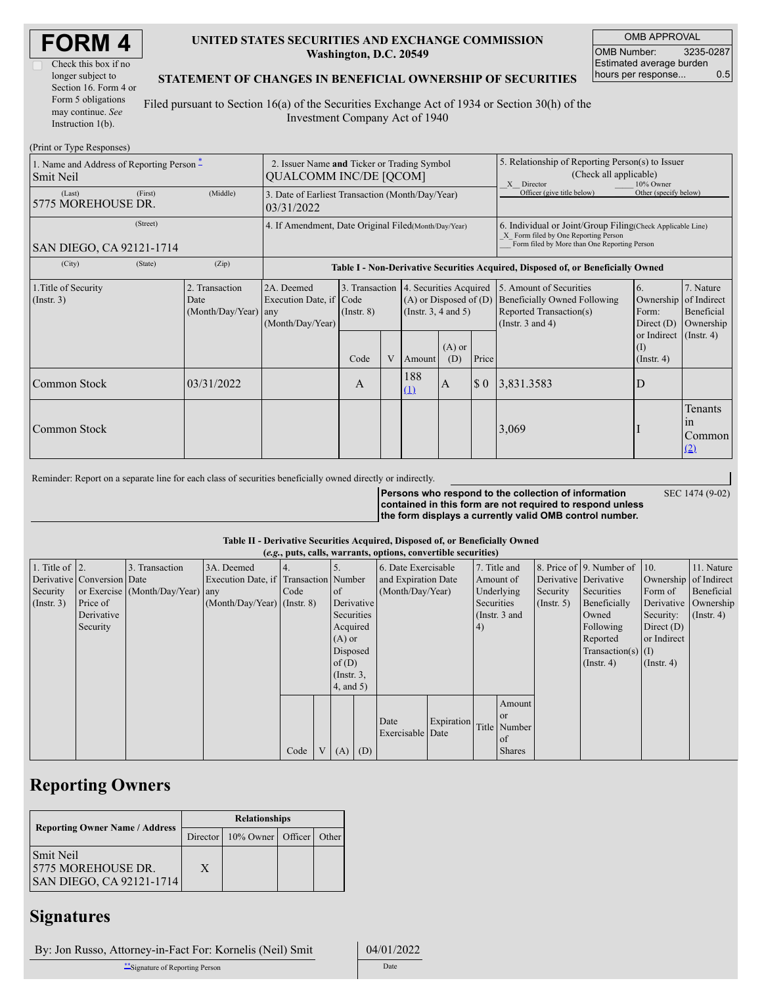| <b>FORM4</b> |  |
|--------------|--|
|--------------|--|

| Check this box if no  |
|-----------------------|
| longer subject to     |
| Section 16. Form 4 or |
| Form 5 obligations    |
| may continue. See     |
| Instruction $1(b)$ .  |

### **UNITED STATES SECURITIES AND EXCHANGE COMMISSION Washington, D.C. 20549**

OMB APPROVAL OMB Number: 3235-0287 Estimated average burden hours per response... 0.5

### **STATEMENT OF CHANGES IN BENEFICIAL OWNERSHIP OF SECURITIES**

Filed pursuant to Section 16(a) of the Securities Exchange Act of 1934 or Section 30(h) of the Investment Company Act of 1940

| (Print or Type Responses)                                |                                                       |                                                |                                                                                                                       |                                   |   |                                                                                   |                                                                                                                                                     |                                                                                                       |                                                                                                             |                                                     |                                                     |
|----------------------------------------------------------|-------------------------------------------------------|------------------------------------------------|-----------------------------------------------------------------------------------------------------------------------|-----------------------------------|---|-----------------------------------------------------------------------------------|-----------------------------------------------------------------------------------------------------------------------------------------------------|-------------------------------------------------------------------------------------------------------|-------------------------------------------------------------------------------------------------------------|-----------------------------------------------------|-----------------------------------------------------|
| 1. Name and Address of Reporting Person $*$<br>Smit Neil |                                                       |                                                | 2. Issuer Name and Ticker or Trading Symbol<br><b>QUALCOMM INC/DE [QCOM]</b>                                          |                                   |   |                                                                                   |                                                                                                                                                     | 5. Relationship of Reporting Person(s) to Issuer<br>(Check all applicable)<br>10% Owner<br>X Director |                                                                                                             |                                                     |                                                     |
| (Last)<br>5775 MOREHOUSE DR.                             | (First)                                               | (Middle)                                       | Officer (give title below)<br>Other (specify below)<br>3. Date of Earliest Transaction (Month/Day/Year)<br>03/31/2022 |                                   |   |                                                                                   |                                                                                                                                                     |                                                                                                       |                                                                                                             |                                                     |                                                     |
| SAN DIEGO, CA 92121-1714                                 | 4. If Amendment, Date Original Filed (Month/Day/Year) |                                                |                                                                                                                       |                                   |   |                                                                                   | 6. Individual or Joint/Group Filing (Check Applicable Line)<br>X Form filed by One Reporting Person<br>Form filed by More than One Reporting Person |                                                                                                       |                                                                                                             |                                                     |                                                     |
| (City)                                                   | (State)                                               | (Zip)                                          | Table I - Non-Derivative Securities Acquired, Disposed of, or Beneficially Owned                                      |                                   |   |                                                                                   |                                                                                                                                                     |                                                                                                       |                                                                                                             |                                                     |                                                     |
| 1. Title of Security<br>$($ Instr. 3 $)$                 |                                                       | 2. Transaction<br>Date<br>(Month/Day/Year) any | 2A. Deemed<br>Execution Date, if Code<br>(Month/Day/Year)                                                             | 3. Transaction<br>$($ Instr. $8)$ |   | 4. Securities Acquired<br>$(A)$ or Disposed of $(D)$<br>$($ Instr. 3, 4 and 5 $)$ |                                                                                                                                                     |                                                                                                       | 5. Amount of Securities<br>Beneficially Owned Following<br>Reported Transaction(s)<br>(Instr. $3$ and $4$ ) | <sup>6.</sup><br>Ownership<br>Form:<br>Direct $(D)$ | 7. Nature<br>of Indirect<br>Beneficial<br>Ownership |
|                                                          |                                                       |                                                |                                                                                                                       | Code                              | V | Amount                                                                            | $(A)$ or<br>(D)                                                                                                                                     | Price                                                                                                 |                                                                                                             | or Indirect<br>(I)<br>$($ Instr. 4 $)$              | $($ Instr. 4 $)$                                    |
| Common Stock                                             |                                                       | 03/31/2022                                     |                                                                                                                       | A                                 |   | 188<br>(1)                                                                        | $\overline{A}$                                                                                                                                      | $\boldsymbol{\$}\ 0$                                                                                  | 3,831.3583                                                                                                  | $\Box$                                              |                                                     |
| Common Stock                                             |                                                       |                                                |                                                                                                                       |                                   |   |                                                                                   |                                                                                                                                                     |                                                                                                       | 3,069                                                                                                       |                                                     | Tenants<br>1n<br>Common<br>(2)                      |

Reminder: Report on a separate line for each class of securities beneficially owned directly or indirectly.

**Persons who respond to the collection of information contained in this form are not required to respond unless the form displays a currently valid OMB control number.** SEC 1474 (9-02)

### **Table II - Derivative Securities Acquired, Disposed of, or Beneficially Owned**

|                    |                            |                                  |                                       |                |     |                 |                     | (e.g., puts, calls, warrants, options, convertible securities) |                 |            |                       |              |                              |               |            |
|--------------------|----------------------------|----------------------------------|---------------------------------------|----------------|-----|-----------------|---------------------|----------------------------------------------------------------|-----------------|------------|-----------------------|--------------|------------------------------|---------------|------------|
| 1. Title of $ 2$ . |                            | 3. Transaction                   | 3A. Deemed                            | $\overline{4}$ |     |                 |                     | 6. Date Exercisable                                            |                 |            | 7. Title and          |              | 8. Price of 9. Number of 10. |               | 11. Nature |
|                    | Derivative Conversion Date |                                  | Execution Date, if Transaction Number |                |     |                 | and Expiration Date |                                                                | Amount of       |            | Derivative Derivative |              | Ownership of Indirect        |               |            |
| Security           |                            | or Exercise (Month/Day/Year) any |                                       | Code           |     | of of           |                     | (Month/Day/Year)                                               |                 | Underlying |                       | Security     | Securities                   | Form of       | Beneficial |
| $($ Instr. 3 $)$   | Price of                   |                                  | $(Month/Day/Year)$ (Instr. 8)         |                |     |                 | Derivative          |                                                                | Securities      |            | $($ Instr. 5 $)$      | Beneficially | Derivative Ownership         |               |            |
|                    | Derivative                 |                                  |                                       |                |     |                 | Securities          |                                                                | (Instr. $3$ and |            |                       | Owned        | Security:                    | $($ Instr. 4) |            |
|                    | Security                   |                                  |                                       |                |     |                 | Acquired            |                                                                | 4)              |            |                       | Following    | Direct $(D)$                 |               |            |
|                    |                            |                                  |                                       |                |     |                 | $(A)$ or            |                                                                |                 |            |                       | Reported     | or Indirect                  |               |            |
|                    |                            |                                  |                                       |                |     | Disposed        |                     |                                                                |                 |            |                       |              | Transaction(s) $(I)$         |               |            |
|                    |                            |                                  |                                       |                |     | of $(D)$        |                     |                                                                |                 |            |                       |              | $($ Instr. 4 $)$             | $($ Instr. 4) |            |
|                    |                            |                                  |                                       |                |     | $($ Instr. $3,$ |                     |                                                                |                 |            |                       |              |                              |               |            |
|                    |                            |                                  |                                       |                |     | $4$ , and $5$ ) |                     |                                                                |                 |            |                       |              |                              |               |            |
|                    |                            |                                  |                                       |                |     |                 |                     |                                                                |                 |            | Amount                |              |                              |               |            |
|                    |                            |                                  |                                       |                |     |                 |                     |                                                                |                 |            | l or                  |              |                              |               |            |
|                    |                            |                                  |                                       |                |     |                 |                     | Date                                                           | Expiration      |            | Title Number          |              |                              |               |            |
|                    |                            |                                  |                                       |                |     |                 |                     | Exercisable Date                                               |                 |            | l of                  |              |                              |               |            |
|                    |                            |                                  |                                       | Code           | V l | $(A)$ $(D)$     |                     |                                                                |                 |            | <b>Shares</b>         |              |                              |               |            |

## **Reporting Owners**

|                                                                     | <b>Relationships</b> |                            |  |       |  |  |  |  |
|---------------------------------------------------------------------|----------------------|----------------------------|--|-------|--|--|--|--|
| <b>Reporting Owner Name / Address</b>                               |                      | Director 10% Owner Officer |  | Other |  |  |  |  |
| <b>Smit Neil</b><br>15775 MOREHOUSE DR.<br>SAN DIEGO, CA 92121-1714 | X                    |                            |  |       |  |  |  |  |

### **Signatures**

By: Jon Russo, Attorney-in-Fact For: Kornelis (Neil) Smit 04/01/2022

\*\*Signature of Reporting Person Date